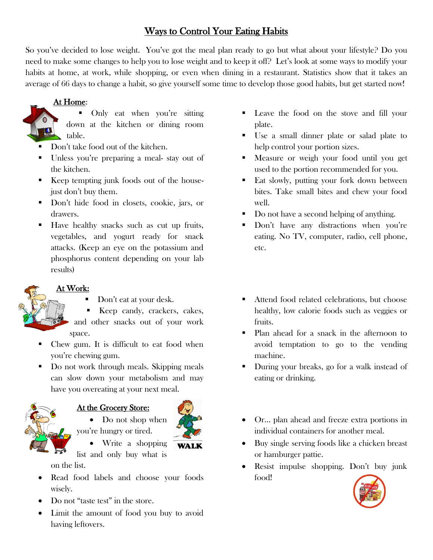# Ways to Control Your Eating Habits

So you've decided to lose weight. You've got the meal plan ready to go but what about your lifestyle? Do you need to make some changes to help you to lose weight and to keep it off? Let's look at some ways to modify your habits at home, at work, while shopping, or even when dining in a restaurant. Statistics show that it takes an average of 66 days to change a habit, so give yourself some time to develop those good habits, but get started now!

## At Home:



- Only eat when you're sitting down at the kitchen or dining room table.
- Don't take food out of the kitchen.
- Unless you're preparing a meal- stay out of the kitchen.
- Keep tempting junk foods out of the housejust don't buy them.
- Don't hide food in closets, cookie, jars, or drawers.
- Have healthy snacks such as cut up fruits, vegetables, and yogurt ready for snack attacks. (Keep an eye on the potassium and phosphorus content depending on your lab results)

#### At Work:

- Don't eat at your desk.
- Keep candy, crackers, cakes, and other snacks out of your work space.
- Chew gum. It is difficult to eat food when you're chewing gum.
- Do not work through meals. Skipping meals can slow down your metabolism and may have you overeating at your next meal.



#### At the Grocery Store:



- Do not shop when you're hungry or tired.
	- Write a shopping
- list and only buy what is on the list.
- Read food labels and choose your foods wisely.
- Do not "taste test" in the store.
- Limit the amount of food you buy to avoid having leftovers.
- Leave the food on the stove and fill your plate.
- Use a small dinner plate or salad plate to help control your portion sizes.
- Measure or weigh your food until you get used to the portion recommended for you.
- Eat slowly, putting your fork down between bites. Take small bites and chew your food well.
- Do not have a second helping of anything.
- Don't have any distractions when you're eating. No TV, computer, radio, cell phone, etc.
- Attend food related celebrations, but choose healthy, low calorie foods such as veggies or fruits.
- Plan ahead for a snack in the afternoon to avoid temptation to go to the vending machine.
- During your breaks, go for a walk instead of eating or drinking.
- Or… plan ahead and freeze extra portions in individual containers for another meal.
- Buy single serving foods like a chicken breast or hamburger pattie.
- Resist impulse shopping. Don't buy junk food!